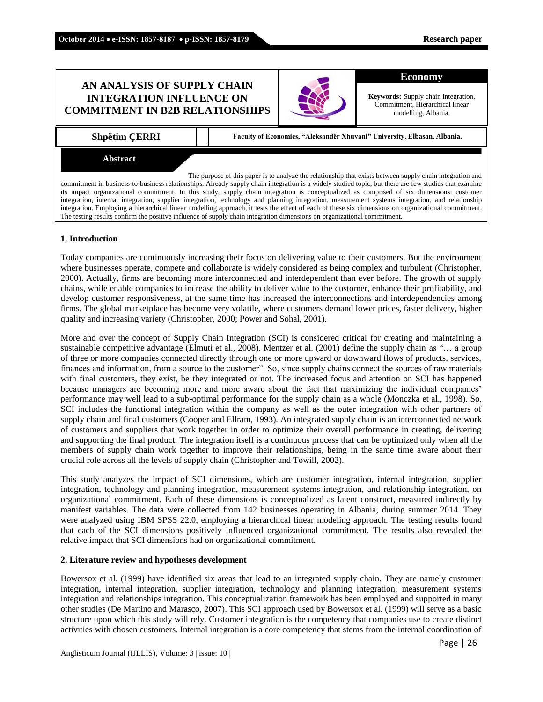# **AN ANALYSIS OF SUPPLY CHAIN INTEGRATION INFLUENCE ON COMMITMENT IN B2B RELATIONSHIPS**



#### **Economy**

**Keywords:** Supply chain integration, Commitment, Hierarchical linear modelling, Albania.

**Shpëtim ÇERRI Faculty of Economics, "Aleksandër Xhuvani" University, Elbasan, Albania.**

#### **Abstract**

The purpose of this paper is to analyze the relationship that exists between supply chain integration and commitment in business-to-business relationships. Already supply chain integration is a widely studied topic, but there are few studies that examine its impact organizational commitment. In this study, supply chain integration is conceptualized as comprised of six dimensions: customer integration, internal integration, supplier integration, technology and planning integration, measurement systems integration, and relationship integration. Employing a hierarchical linear modelling approach, it tests the effect of each of these six dimensions on organizational commitment. The testing results confirm the positive influence of supply chain integration dimensions on organizational commitment.

#### **1. Introduction**

Today companies are continuously increasing their focus on delivering value to their customers. But the environment where businesses operate, compete and collaborate is widely considered as being complex and turbulent (Christopher, 2000). Actually, firms are becoming more interconnected and interdependent than ever before. The growth of supply chains, while enable companies to increase the ability to deliver value to the customer, enhance their profitability, and develop customer responsiveness, at the same time has increased the interconnections and interdependencies among firms. The global marketplace has become very volatile, where customers demand lower prices, faster delivery, higher quality and increasing variety (Christopher, 2000; Power and Sohal, 2001).

More and over the concept of Supply Chain Integration (SCI) is considered critical for creating and maintaining a sustainable competitive advantage (Elmuti et al., 2008). Mentzer et al. (2001) define the supply chain as "… a group of three or more companies connected directly through one or more upward or downward flows of products, services, finances and information, from a source to the customer". So, since supply chains connect the sources of raw materials with final customers, they exist, be they integrated or not. The increased focus and attention on SCI has happened because managers are becoming more and more aware about the fact that maximizing the individual companies' performance may well lead to a sub-optimal performance for the supply chain as a whole (Monczka et al., 1998). So, SCI includes the functional integration within the company as well as the outer integration with other partners of supply chain and final customers (Cooper and Ellram, 1993). An integrated supply chain is an interconnected network of customers and suppliers that work together in order to optimize their overall performance in creating, delivering and supporting the final product. The integration itself is a continuous process that can be optimized only when all the members of supply chain work together to improve their relationships, being in the same time aware about their crucial role across all the levels of supply chain (Christopher and Towill, 2002).

This study analyzes the impact of SCI dimensions, which are customer integration, internal integration, supplier integration, technology and planning integration, measurement systems integration, and relationship integration, on organizational commitment. Each of these dimensions is conceptualized as latent construct, measured indirectly by manifest variables. The data were collected from 142 businesses operating in Albania, during summer 2014. They were analyzed using IBM SPSS 22.0, employing a hierarchical linear modeling approach. The testing results found that each of the SCI dimensions positively influenced organizational commitment. The results also revealed the relative impact that SCI dimensions had on organizational commitment.

## **2. Literature review and hypotheses development**

Bowersox et al. (1999) have identified six areas that lead to an integrated supply chain. They are namely customer integration, internal integration, supplier integration, technology and planning integration, measurement systems integration and relationships integration. This conceptualization framework has been employed and supported in many other studies (De Martino and Marasco, 2007). This SCI approach used by Bowersox et al. (1999) will serve as a basic structure upon which this study will rely. Customer integration is the competency that companies use to create distinct activities with chosen customers. Internal integration is a core competency that stems from the internal coordination of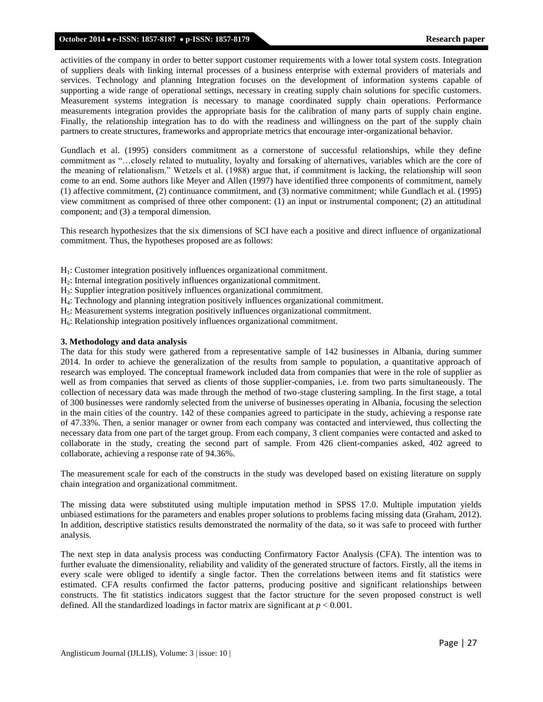#### **October 2014 e-ISSN: 1857-8187 p-ISSN: 1857-8179 Research paper**

activities of the company in order to better support customer requirements with a lower total system costs. Integration of suppliers deals with linking internal processes of a business enterprise with external providers of materials and services. Technology and planning Integration focuses on the development of information systems capable of supporting a wide range of operational settings, necessary in creating supply chain solutions for specific customers. Measurement systems integration is necessary to manage coordinated supply chain operations. Performance measurements integration provides the appropriate basis for the calibration of many parts of supply chain engine. Finally, the relationship integration has to do with the readiness and willingness on the part of the supply chain partners to create structures, frameworks and appropriate metrics that encourage inter-organizational behavior.

Gundlach et al. (1995) considers commitment as a cornerstone of successful relationships, while they define commitment as "…closely related to mutuality, loyalty and forsaking of alternatives, variables which are the core of the meaning of relationalism." Wetzels et al. (1988) argue that, if commitment is lacking, the relationship will soon come to an end. Some authors like Meyer and Allen (1997) have identified three components of commitment, namely (1) affective commitment, (2) continuance commitment, and (3) normative commitment; while Gundlach et al. (1995) view commitment as comprised of three other component: (1) an input or instrumental component; (2) an attitudinal component; and (3) a temporal dimension.

This research hypothesizes that the six dimensions of SCI have each a positive and direct influence of organizational commitment. Thus, the hypotheses proposed are as follows:

- $H<sub>1</sub>$ : Customer integration positively influences organizational commitment.
- H2: Internal integration positively influences organizational commitment.
- H3: Supplier integration positively influences organizational commitment.
- H4: Technology and planning integration positively influences organizational commitment.
- H5: Measurement systems integration positively influences organizational commitment.
- $H_6$ : Relationship integration positively influences organizational commitment.

#### **3. Methodology and data analysis**

The data for this study were gathered from a representative sample of 142 businesses in Albania, during summer 2014. In order to achieve the generalization of the results from sample to population, a quantitative approach of research was employed. The conceptual framework included data from companies that were in the role of supplier as well as from companies that served as clients of those supplier-companies, i.e. from two parts simultaneously. The collection of necessary data was made through the method of two-stage clustering sampling. In the first stage, a total of 300 businesses were randomly selected from the universe of businesses operating in Albania, focusing the selection in the main cities of the country. 142 of these companies agreed to participate in the study, achieving a response rate of 47.33%. Then, a senior manager or owner from each company was contacted and interviewed, thus collecting the necessary data from one part of the target group. From each company, 3 client companies were contacted and asked to collaborate in the study, creating the second part of sample. From 426 client-companies asked, 402 agreed to collaborate, achieving a response rate of 94.36%.

The measurement scale for each of the constructs in the study was developed based on existing literature on supply chain integration and organizational commitment.

The missing data were substituted using multiple imputation method in SPSS 17.0. Multiple imputation yields unbiased estimations for the parameters and enables proper solutions to problems facing missing data (Graham, 2012). In addition, descriptive statistics results demonstrated the normality of the data, so it was safe to proceed with further analysis.

The next step in data analysis process was conducting Confirmatory Factor Analysis (CFA). The intention was to further evaluate the dimensionality, reliability and validity of the generated structure of factors. Firstly, all the items in every scale were obliged to identify a single factor. Then the correlations between items and fit statistics were estimated. CFA results confirmed the factor patterns, producing positive and significant relationships between constructs. The fit statistics indicators suggest that the factor structure for the seven proposed construct is well defined. All the standardized loadings in factor matrix are significant at  $p < 0.001$ .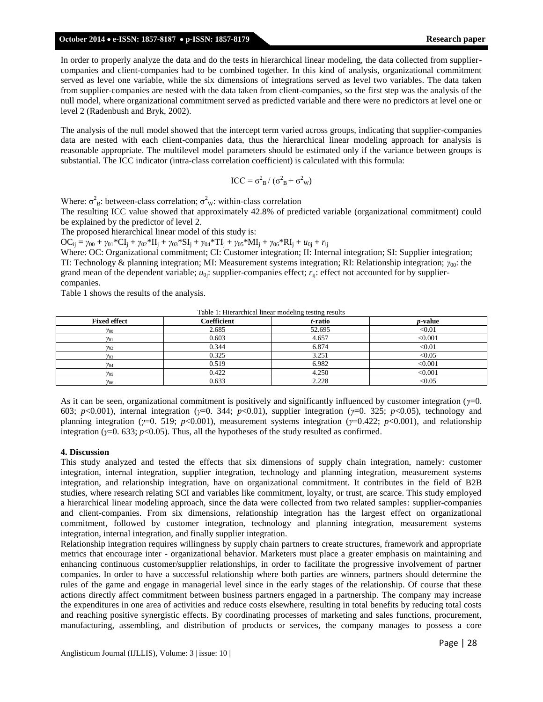#### **October 2014 e-ISSN: 1857-8187 p-ISSN: 1857-8179 Research paper**

In order to properly analyze the data and do the tests in hierarchical linear modeling, the data collected from suppliercompanies and client-companies had to be combined together. In this kind of analysis, organizational commitment served as level one variable, while the six dimensions of integrations served as level two variables. The data taken from supplier-companies are nested with the data taken from client-companies, so the first step was the analysis of the null model, where organizational commitment served as predicted variable and there were no predictors at level one or level 2 (Radenbush and Bryk, 2002).

The analysis of the null model showed that the intercept term varied across groups, indicating that supplier-companies data are nested with each client-companies data, thus the hierarchical linear modeling approach for analysis is reasonable appropriate. The multilevel model parameters should be estimated only if the variance between groups is substantial. The ICC indicator (intra-class correlation coefficient) is calculated with this formula:

$$
ICC = \sigma_{B}^{2} / (\sigma_{B}^{2} + \sigma_{W}^{2})
$$

Where:  $\sigma_B^2$ : between-class correlation;  $\sigma_W^2$ : within-class correlation

The resulting ICC value showed that approximately 42.8% of predicted variable (organizational commitment) could be explained by the predictor of level 2.

The proposed hierarchical linear model of this study is:

 $OC_{ii} = \gamma_{00} + \gamma_{01} * CI_i + \gamma_{02} * II_i + \gamma_{03} * SI_i + \gamma_{04} * TI_i + \gamma_{05} * MI_i + \gamma_{06} * RI_i + u_{0i} + r_{ii}$ 

Where: OC: Organizational commitment; CI: Customer integration; II: Internal integration; SI: Supplier integration; TI: Technology & planning integration; MI: Measurement systems integration; RI: Relationship integration; *γ*00: the grand mean of the dependent variable;  $u_{0j}$ : supplier-companies effect;  $r_{ij}$ : effect not accounted for by suppliercompanies.

Table 1 shows the results of the analysis.

Table 1: Hierarchical linear modeling testing results

| <b>Fixed effect</b> | Coefficient | t-ratio | <i>p</i> -value |
|---------------------|-------------|---------|-----------------|
| $\gamma_{00}$       | 2.685       | 52.695  | < 0.01          |
| $\gamma_{01}$       | 0.603       | 4.657   | < 0.001         |
| $v_{02}$            | 0.344       | 6.874   | < 0.01          |
| $\gamma_{03}$       | 0.325       | 3.251   | < 0.05          |
| $\gamma_{04}$       | 0.519       | 6.982   | < 0.001         |
| $\gamma_{05}$       | 0.422       | 4.250   | < 0.001         |
| $v_{06}$            | 0.633       | 2.228   | < 0.05          |

As it can be seen, organizational commitment is positively and significantly influenced by customer integration (*γ*=0. 603; *p*<0.001), internal integration (*γ*=0. 344; *p*<0.01), supplier integration (*γ*=0. 325; *p*<0.05), technology and planning integration (*γ*=0. 519; *p*<0.001), measurement systems integration (*γ*=0.422; *p*<0.001), and relationship integration ( $\gamma$ =0. 633;  $p$ <0.05). Thus, all the hypotheses of the study resulted as confirmed.

### **4. Discussion**

This study analyzed and tested the effects that six dimensions of supply chain integration, namely: customer integration, internal integration, supplier integration, technology and planning integration, measurement systems integration, and relationship integration, have on organizational commitment. It contributes in the field of B2B studies, where research relating SCI and variables like commitment, loyalty, or trust, are scarce. This study employed a hierarchical linear modeling approach, since the data were collected from two related samples: supplier-companies and client-companies. From six dimensions, relationship integration has the largest effect on organizational commitment, followed by customer integration, technology and planning integration, measurement systems integration, internal integration, and finally supplier integration.

Relationship integration requires willingness by supply chain partners to create structures, framework and appropriate metrics that encourage inter - organizational behavior. Marketers must place a greater emphasis on maintaining and enhancing continuous customer/supplier relationships, in order to facilitate the progressive involvement of partner companies. In order to have a successful relationship where both parties are winners, partners should determine the rules of the game and engage in managerial level since in the early stages of the relationship. Of course that these actions directly affect commitment between business partners engaged in a partnership. The company may increase the expenditures in one area of activities and reduce costs elsewhere, resulting in total benefits by reducing total costs and reaching positive synergistic effects. By coordinating processes of marketing and sales functions, procurement, manufacturing, assembling, and distribution of products or services, the company manages to possess a core